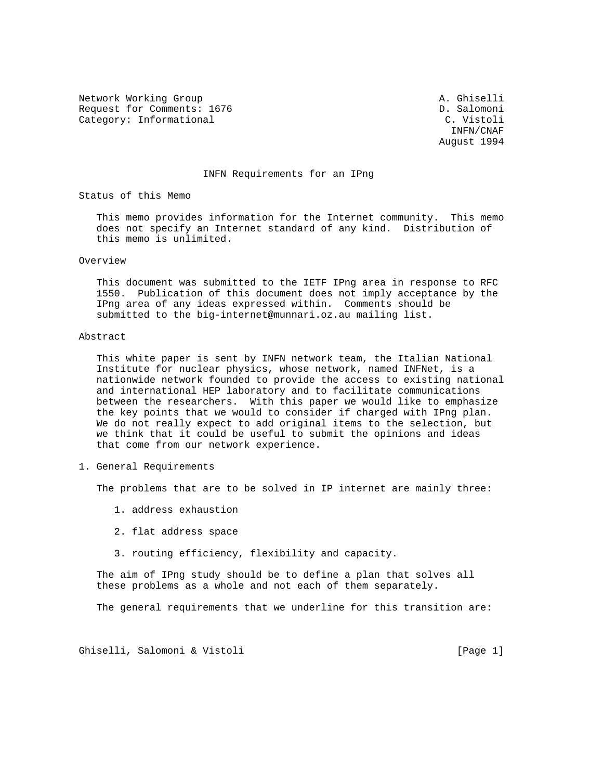Network Working Group and A. Ghiselli Request for Comments: 1676 **D.** Salomoni Category: Informational C. Vistoli

 INFN/CNAF August 1994

## INFN Requirements for an IPng

Status of this Memo

 This memo provides information for the Internet community. This memo does not specify an Internet standard of any kind. Distribution of this memo is unlimited.

## Overview

 This document was submitted to the IETF IPng area in response to RFC 1550. Publication of this document does not imply acceptance by the IPng area of any ideas expressed within. Comments should be submitted to the big-internet@munnari.oz.au mailing list.

## Abstract

 This white paper is sent by INFN network team, the Italian National Institute for nuclear physics, whose network, named INFNet, is a nationwide network founded to provide the access to existing national and international HEP laboratory and to facilitate communications between the researchers. With this paper we would like to emphasize the key points that we would to consider if charged with IPng plan. We do not really expect to add original items to the selection, but we think that it could be useful to submit the opinions and ideas that come from our network experience.

1. General Requirements

The problems that are to be solved in IP internet are mainly three:

- 1. address exhaustion
- 2. flat address space
- 3. routing efficiency, flexibility and capacity.

 The aim of IPng study should be to define a plan that solves all these problems as a whole and not each of them separately.

The general requirements that we underline for this transition are:

Ghiselli, Salomoni & Vistoli [Page 1]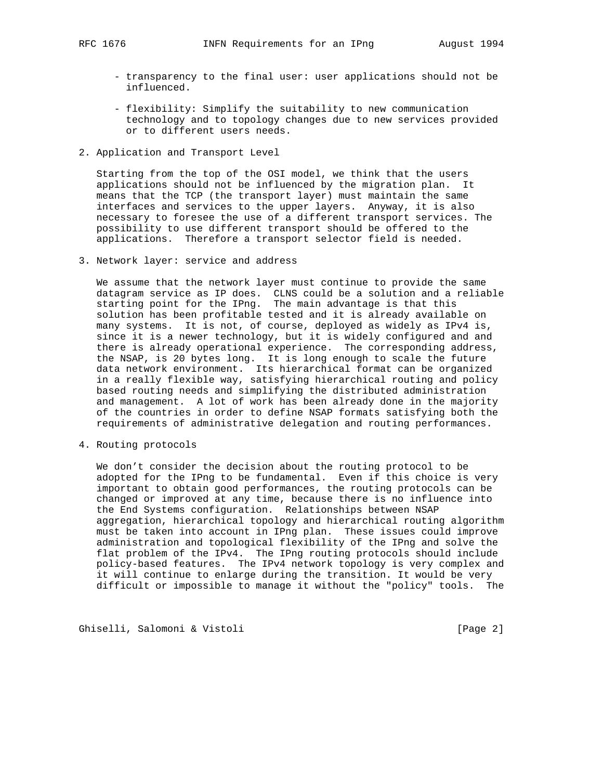- transparency to the final user: user applications should not be influenced.
- flexibility: Simplify the suitability to new communication technology and to topology changes due to new services provided or to different users needs.
- 2. Application and Transport Level

 Starting from the top of the OSI model, we think that the users applications should not be influenced by the migration plan. It means that the TCP (the transport layer) must maintain the same interfaces and services to the upper layers. Anyway, it is also necessary to foresee the use of a different transport services. The possibility to use different transport should be offered to the applications. Therefore a transport selector field is needed.

3. Network layer: service and address

 We assume that the network layer must continue to provide the same datagram service as IP does. CLNS could be a solution and a reliable starting point for the IPng. The main advantage is that this solution has been profitable tested and it is already available on many systems. It is not, of course, deployed as widely as IPv4 is, since it is a newer technology, but it is widely configured and and there is already operational experience. The corresponding address, the NSAP, is 20 bytes long. It is long enough to scale the future data network environment. Its hierarchical format can be organized in a really flexible way, satisfying hierarchical routing and policy based routing needs and simplifying the distributed administration and management. A lot of work has been already done in the majority of the countries in order to define NSAP formats satisfying both the requirements of administrative delegation and routing performances.

4. Routing protocols

 We don't consider the decision about the routing protocol to be adopted for the IPng to be fundamental. Even if this choice is very important to obtain good performances, the routing protocols can be changed or improved at any time, because there is no influence into the End Systems configuration. Relationships between NSAP aggregation, hierarchical topology and hierarchical routing algorithm must be taken into account in IPng plan. These issues could improve administration and topological flexibility of the IPng and solve the flat problem of the IPv4. The IPng routing protocols should include policy-based features. The IPv4 network topology is very complex and it will continue to enlarge during the transition. It would be very difficult or impossible to manage it without the "policy" tools. The

Ghiselli, Salomoni & Vistoli [Page 2]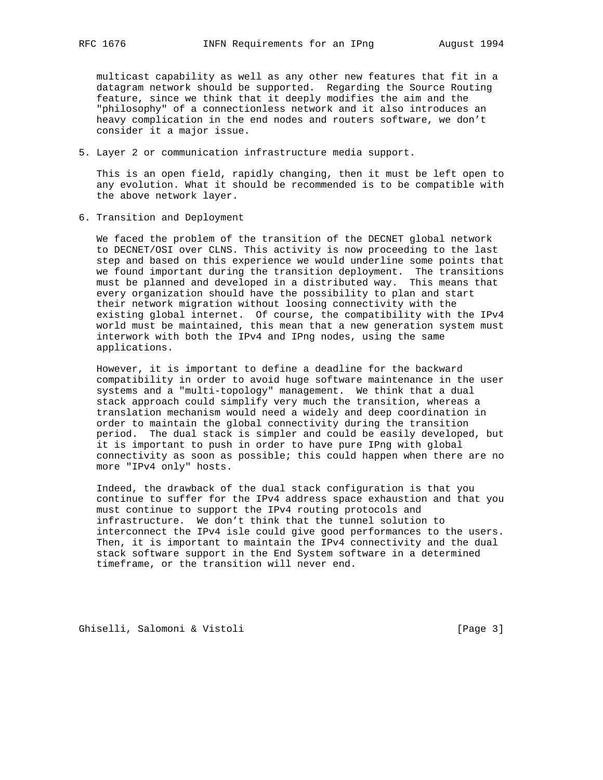multicast capability as well as any other new features that fit in a datagram network should be supported. Regarding the Source Routing feature, since we think that it deeply modifies the aim and the "philosophy" of a connectionless network and it also introduces an heavy complication in the end nodes and routers software, we don't consider it a major issue.

5. Layer 2 or communication infrastructure media support.

 This is an open field, rapidly changing, then it must be left open to any evolution. What it should be recommended is to be compatible with the above network layer.

6. Transition and Deployment

 We faced the problem of the transition of the DECNET global network to DECNET/OSI over CLNS. This activity is now proceeding to the last step and based on this experience we would underline some points that we found important during the transition deployment. The transitions must be planned and developed in a distributed way. This means that every organization should have the possibility to plan and start their network migration without loosing connectivity with the existing global internet. Of course, the compatibility with the IPv4 world must be maintained, this mean that a new generation system must interwork with both the IPv4 and IPng nodes, using the same applications.

 However, it is important to define a deadline for the backward compatibility in order to avoid huge software maintenance in the user systems and a "multi-topology" management. We think that a dual stack approach could simplify very much the transition, whereas a translation mechanism would need a widely and deep coordination in order to maintain the global connectivity during the transition period. The dual stack is simpler and could be easily developed, but it is important to push in order to have pure IPng with global connectivity as soon as possible; this could happen when there are no more "IPv4 only" hosts.

 Indeed, the drawback of the dual stack configuration is that you continue to suffer for the IPv4 address space exhaustion and that you must continue to support the IPv4 routing protocols and infrastructure. We don't think that the tunnel solution to interconnect the IPv4 isle could give good performances to the users. Then, it is important to maintain the IPv4 connectivity and the dual stack software support in the End System software in a determined timeframe, or the transition will never end.

Ghiselli, Salomoni & Vistoli [Page 3]